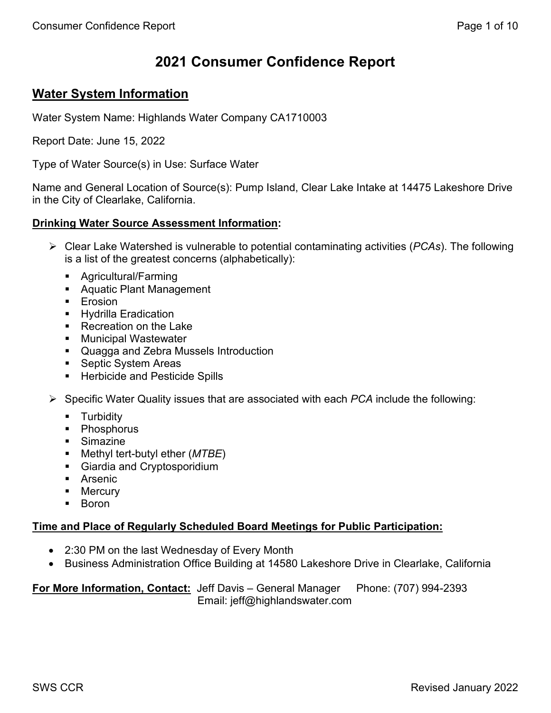# **2021 Consumer Confidence Report**

# **Water System Information**

Water System Name: Highlands Water Company CA1710003

Report Date: June 15, 2022

Type of Water Source(s) in Use: Surface Water

Name and General Location of Source(s): Pump Island, Clear Lake Intake at 14475 Lakeshore Drive in the City of Clearlake, California.

### **Drinking Water Source Assessment Information:**

- Clear Lake Watershed is vulnerable to potential contaminating activities (*PCAs*). The following is a list of the greatest concerns (alphabetically):
	- Agricultural/Farming
	- Aquatic Plant Management
	- **E**rosion
	- **Hydrilla Eradication**
	- Recreation on the Lake
	- **Municipal Wastewater**
	- **Quagga and Zebra Mussels Introduction**
	- Septic System Areas
	- **EXEC** Herbicide and Pesticide Spills
- Specific Water Quality issues that are associated with each *PCA* include the following:
	- **Turbidity**
	- Phosphorus
	- **Simazine**
	- Methyl tert-butyl ether (*MTBE*)
	- Giardia and Cryptosporidium
	- **Arsenic**
	- **•** Mercury
	- Boron

## **Time and Place of Regularly Scheduled Board Meetings for Public Participation:**

- 2:30 PM on the last Wednesday of Every Month
- Business Administration Office Building at 14580 Lakeshore Drive in Clearlake, California

**For More Information, Contact:** Jeff Davis – General Manager Phone: (707) 994-2393 Email: jeff@highlandswater.com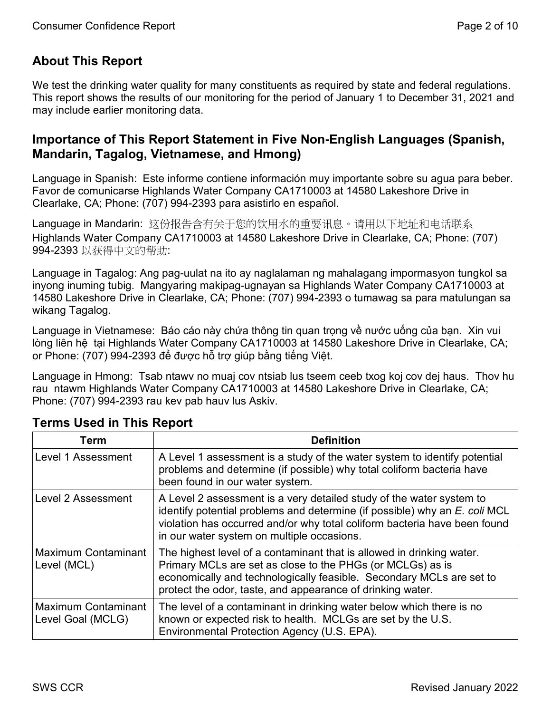# **About This Report**

We test the drinking water quality for many constituents as required by state and federal regulations. This report shows the results of our monitoring for the period of January 1 to December 31, 2021 and may include earlier monitoring data.

# **Importance of This Report Statement in Five Non-English Languages (Spanish, Mandarin, Tagalog, Vietnamese, and Hmong)**

Language in Spanish: Este informe contiene información muy importante sobre su agua para beber. Favor de comunicarse Highlands Water Company CA1710003 at 14580 Lakeshore Drive in Clearlake, CA; Phone: (707) 994-2393 para asistirlo en español.

Language in Mandarin: 这份报告含有关于您的饮用水的重要讯息。请用以下地址和电话联系 Highlands Water Company CA1710003 at 14580 Lakeshore Drive in Clearlake, CA; Phone: (707) 994-2393 以获得中文的帮助:

Language in Tagalog: Ang pag-uulat na ito ay naglalaman ng mahalagang impormasyon tungkol sa inyong inuming tubig. Mangyaring makipag-ugnayan sa Highlands Water Company CA1710003 at 14580 Lakeshore Drive in Clearlake, CA; Phone: (707) 994-2393 o tumawag sa para matulungan sa wikang Tagalog.

Language in Vietnamese: Báo cáo này chứa thông tin quan trọng về nước uống của bạn. Xin vui lòng liên hê tai Highlands Water Company CA1710003 at 14580 Lakeshore Drive in Clearlake, CA; or Phone: (707) 994-2393 để được hỗ trợ giúp bằng tiếng Việt.

Language in Hmong: Tsab ntawv no muaj cov ntsiab lus tseem ceeb txog koj cov dej haus. Thov hu rau ntawm Highlands Water Company CA1710003 at 14580 Lakeshore Drive in Clearlake, CA; Phone: (707) 994-2393 rau kev pab hauv lus Askiv.

| Term                                            | <b>Definition</b>                                                                                                                                                                                                                                                             |
|-------------------------------------------------|-------------------------------------------------------------------------------------------------------------------------------------------------------------------------------------------------------------------------------------------------------------------------------|
| Level 1 Assessment                              | A Level 1 assessment is a study of the water system to identify potential<br>problems and determine (if possible) why total coliform bacteria have<br>been found in our water system.                                                                                         |
| <b>Level 2 Assessment</b>                       | A Level 2 assessment is a very detailed study of the water system to<br>identify potential problems and determine (if possible) why an E. coli MCL<br>violation has occurred and/or why total coliform bacteria have been found<br>in our water system on multiple occasions. |
| <b>Maximum Contaminant</b><br>Level (MCL)       | The highest level of a contaminant that is allowed in drinking water.<br>Primary MCLs are set as close to the PHGs (or MCLGs) as is<br>economically and technologically feasible. Secondary MCLs are set to<br>protect the odor, taste, and appearance of drinking water.     |
| <b>Maximum Contaminant</b><br>Level Goal (MCLG) | The level of a contaminant in drinking water below which there is no<br>known or expected risk to health. MCLGs are set by the U.S.<br>Environmental Protection Agency (U.S. EPA).                                                                                            |

# **Terms Used in This Report**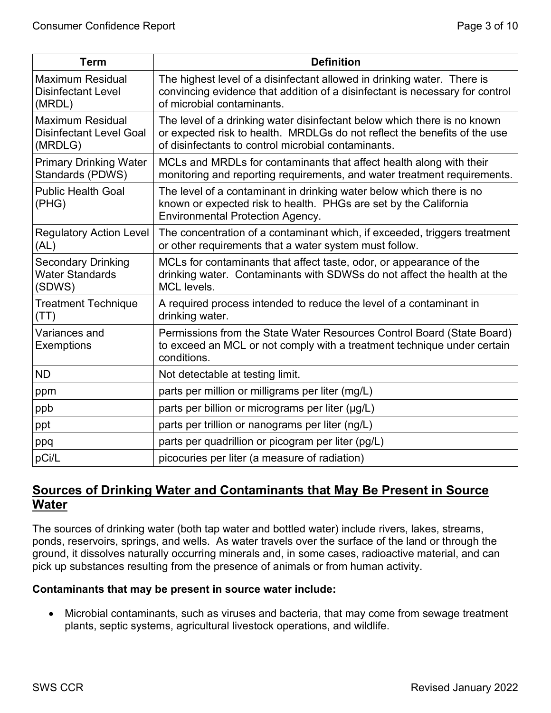| <b>Term</b>                                                          | <b>Definition</b>                                                                                                                                                                                            |
|----------------------------------------------------------------------|--------------------------------------------------------------------------------------------------------------------------------------------------------------------------------------------------------------|
| <b>Maximum Residual</b><br><b>Disinfectant Level</b><br>(MRDL)       | The highest level of a disinfectant allowed in drinking water. There is<br>convincing evidence that addition of a disinfectant is necessary for control<br>of microbial contaminants.                        |
| <b>Maximum Residual</b><br><b>Disinfectant Level Goal</b><br>(MRDLG) | The level of a drinking water disinfectant below which there is no known<br>or expected risk to health. MRDLGs do not reflect the benefits of the use<br>of disinfectants to control microbial contaminants. |
| <b>Primary Drinking Water</b><br>Standards (PDWS)                    | MCLs and MRDLs for contaminants that affect health along with their<br>monitoring and reporting requirements, and water treatment requirements.                                                              |
| <b>Public Health Goal</b><br>(PHG)                                   | The level of a contaminant in drinking water below which there is no<br>known or expected risk to health. PHGs are set by the California<br><b>Environmental Protection Agency.</b>                          |
| <b>Regulatory Action Level</b><br>(AL)                               | The concentration of a contaminant which, if exceeded, triggers treatment<br>or other requirements that a water system must follow.                                                                          |
| <b>Secondary Drinking</b><br><b>Water Standards</b><br>(SDWS)        | MCLs for contaminants that affect taste, odor, or appearance of the<br>drinking water. Contaminants with SDWSs do not affect the health at the<br>MCL levels.                                                |
| <b>Treatment Technique</b><br>(TT)                                   | A required process intended to reduce the level of a contaminant in<br>drinking water.                                                                                                                       |
| Variances and<br><b>Exemptions</b>                                   | Permissions from the State Water Resources Control Board (State Board)<br>to exceed an MCL or not comply with a treatment technique under certain<br>conditions.                                             |
| <b>ND</b>                                                            | Not detectable at testing limit.                                                                                                                                                                             |
| ppm                                                                  | parts per million or milligrams per liter (mg/L)                                                                                                                                                             |
| ppb                                                                  | parts per billion or micrograms per liter (µg/L)                                                                                                                                                             |
| ppt                                                                  | parts per trillion or nanograms per liter (ng/L)                                                                                                                                                             |
| ppq                                                                  | parts per quadrillion or picogram per liter (pg/L)                                                                                                                                                           |
| pCi/L                                                                | picocuries per liter (a measure of radiation)                                                                                                                                                                |

# **Sources of Drinking Water and Contaminants that May Be Present in Source Water**

The sources of drinking water (both tap water and bottled water) include rivers, lakes, streams, ponds, reservoirs, springs, and wells. As water travels over the surface of the land or through the ground, it dissolves naturally occurring minerals and, in some cases, radioactive material, and can pick up substances resulting from the presence of animals or from human activity.

### **Contaminants that may be present in source water include:**

• Microbial contaminants, such as viruses and bacteria, that may come from sewage treatment plants, septic systems, agricultural livestock operations, and wildlife.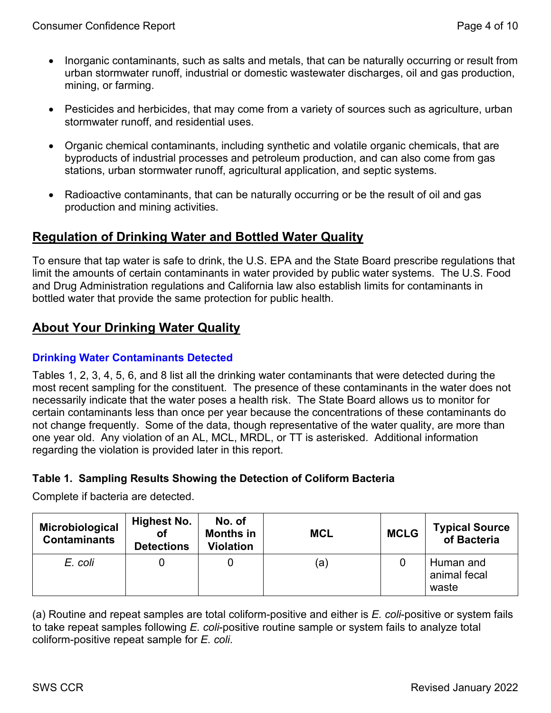- Inorganic contaminants, such as salts and metals, that can be naturally occurring or result from urban stormwater runoff, industrial or domestic wastewater discharges, oil and gas production, mining, or farming.
- Pesticides and herbicides, that may come from a variety of sources such as agriculture, urban stormwater runoff, and residential uses.
- Organic chemical contaminants, including synthetic and volatile organic chemicals, that are byproducts of industrial processes and petroleum production, and can also come from gas stations, urban stormwater runoff, agricultural application, and septic systems.
- Radioactive contaminants, that can be naturally occurring or be the result of oil and gas production and mining activities.

# **Regulation of Drinking Water and Bottled Water Quality**

To ensure that tap water is safe to drink, the U.S. EPA and the State Board prescribe regulations that limit the amounts of certain contaminants in water provided by public water systems. The U.S. Food and Drug Administration regulations and California law also establish limits for contaminants in bottled water that provide the same protection for public health.

# **About Your Drinking Water Quality**

### **Drinking Water Contaminants Detected**

Tables 1, 2, 3, 4, 5, 6, and 8 list all the drinking water contaminants that were detected during the most recent sampling for the constituent. The presence of these contaminants in the water does not necessarily indicate that the water poses a health risk. The State Board allows us to monitor for certain contaminants less than once per year because the concentrations of these contaminants do not change frequently. Some of the data, though representative of the water quality, are more than one year old. Any violation of an AL, MCL, MRDL, or TT is asterisked. Additional information regarding the violation is provided later in this report.

## **Table 1. Sampling Results Showing the Detection of Coliform Bacteria**

Complete if bacteria are detected.

| Microbiological<br><b>Contaminants</b> | Highest No.<br>οf<br><b>Detections</b> | No. of<br><b>Months in</b><br><b>Violation</b> | <b>MCL</b> | <b>MCLG</b> | <b>Typical Source</b><br>of Bacteria |
|----------------------------------------|----------------------------------------|------------------------------------------------|------------|-------------|--------------------------------------|
| E. coli                                |                                        |                                                | (а         |             | Human and<br>animal fecal<br>waste   |

(a) Routine and repeat samples are total coliform-positive and either is *E. coli*-positive or system fails to take repeat samples following *E. coli*-positive routine sample or system fails to analyze total coliform-positive repeat sample for *E. coli*.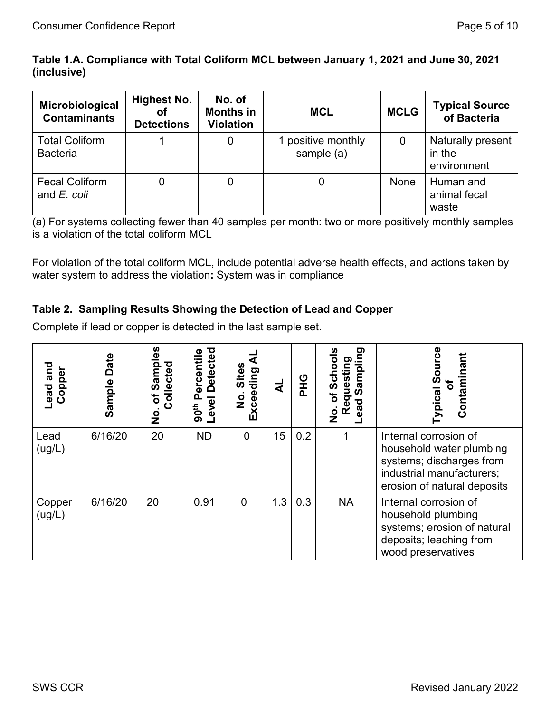## **Table 1.A. Compliance with Total Coliform MCL between January 1, 2021 and June 30, 2021 (inclusive)**

| Microbiological<br><b>Contaminants</b>   | <b>Highest No.</b><br>οf<br><b>Detections</b> | No. of<br><b>Months in</b><br><b>Violation</b> | <b>MCL</b>                       | <b>MCLG</b> | <b>Typical Source</b><br>of Bacteria       |
|------------------------------------------|-----------------------------------------------|------------------------------------------------|----------------------------------|-------------|--------------------------------------------|
| <b>Total Coliform</b><br><b>Bacteria</b> |                                               | 0                                              | 1 positive monthly<br>sample (a) |             | Naturally present<br>in the<br>environment |
| <b>Fecal Coliform</b><br>and E. coli     |                                               | 0                                              |                                  | None        | Human and<br>animal fecal<br>waste         |

(a) For systems collecting fewer than 40 samples per month: two or more positively monthly samples is a violation of the total coliform MCL

For violation of the total coliform MCL, include potential adverse health effects, and actions taken by water system to address the violation**:** System was in compliance

## **Table 2. Sampling Results Showing the Detection of Lead and Copper**

Complete if lead or copper is detected in the last sample set.

| and<br>Copper<br>Lead | Date<br>Sample | ഗ<br>Ω<br>Collected<br>Samp<br>৳<br>$\frac{1}{2}$ | <b>Detected</b><br>ercentile<br>Level<br>90 <sup>th</sup> | <b>Sites</b><br>Exceeding<br>o<br>Z | ₹   | <b>OHA</b> | ත<br>Ē<br>$\overline{\mathbf{a}}$<br>ω<br>៑<br>o<br>ਹ<br>ಔ<br>$\mathsf{\overset{\mathtt{o}}{z}}$ | Contaminan<br><b>ypical Sou</b><br>৳                                                                                                      |
|-----------------------|----------------|---------------------------------------------------|-----------------------------------------------------------|-------------------------------------|-----|------------|--------------------------------------------------------------------------------------------------|-------------------------------------------------------------------------------------------------------------------------------------------|
| Lead<br>(ug/L)        | 6/16/20        | 20                                                | <b>ND</b>                                                 | $\overline{0}$                      | 15  | 0.2        |                                                                                                  | Internal corrosion of<br>household water plumbing<br>systems; discharges from<br>industrial manufacturers;<br>erosion of natural deposits |
| Copper<br>(ug/L)      | 6/16/20        | 20                                                | 0.91                                                      | 0                                   | 1.3 | 0.3        | <b>NA</b>                                                                                        | Internal corrosion of<br>household plumbing<br>systems; erosion of natural<br>deposits; leaching from<br>wood preservatives               |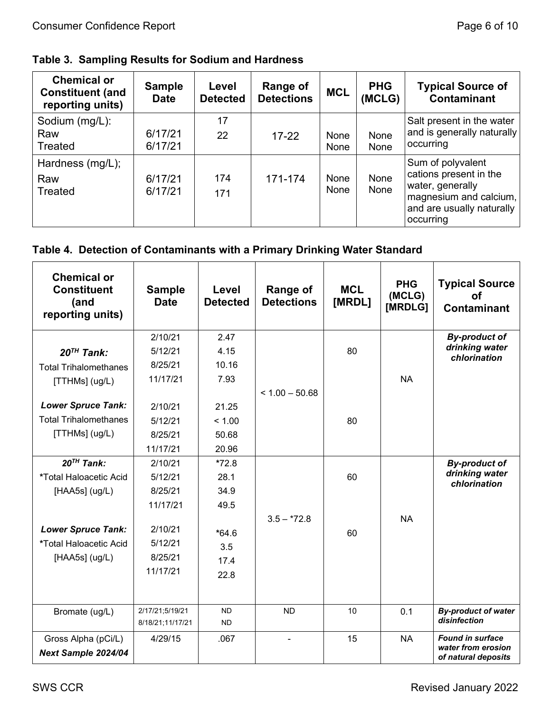| <b>Chemical or</b><br><b>Constituent (and</b><br>reporting units) | <b>Sample</b><br><b>Date</b> | Level<br><b>Detected</b> | <b>Range of</b><br><b>Detections</b> | <b>MCL</b>   | <b>PHG</b><br>(MCLG) | <b>Typical Source of</b><br>Contaminant                                                   |
|-------------------------------------------------------------------|------------------------------|--------------------------|--------------------------------------|--------------|----------------------|-------------------------------------------------------------------------------------------|
| Sodium (mg/L):<br>Raw                                             | 6/17/21                      | 17<br>22                 | $17 - 22$                            | None         | None                 | Salt present in the water<br>and is generally naturally                                   |
| Treated                                                           | 6/17/21                      |                          |                                      | <b>None</b>  | None                 | occurring                                                                                 |
| Hardness (mg/L);<br>Raw<br>Treated                                | 6/17/21<br>6/17/21           | 174<br>171               | 171-174                              | None<br>None | None<br>None         | Sum of polyvalent<br>cations present in the<br>water, generally<br>magnesium and calcium, |
|                                                                   |                              |                          |                                      |              |                      | and are usually naturally<br>occurring                                                    |

# **Table 4. Detection of Contaminants with a Primary Drinking Water Standard**

| <b>Chemical or</b><br><b>Constituent</b><br>(and<br>reporting units) | <b>Sample</b><br><b>Date</b> | Level<br><b>Detected</b> | Range of<br><b>Detections</b> | <b>MCL</b><br>[MRDL] | <b>PHG</b><br>(MCLG)<br>[MRDLG] | <b>Typical Source</b><br>Οf<br><b>Contaminant</b> |
|----------------------------------------------------------------------|------------------------------|--------------------------|-------------------------------|----------------------|---------------------------------|---------------------------------------------------|
|                                                                      | 2/10/21                      | 2.47                     |                               |                      |                                 | <b>By-product of</b>                              |
| $20TH$ Tank:                                                         | 5/12/21                      | 4.15                     |                               | 80                   |                                 | drinking water<br>chlorination                    |
| <b>Total Trihalomethanes</b>                                         | 8/25/21                      | 10.16                    |                               |                      |                                 |                                                   |
| [TTHMs] (ug/L)                                                       | 11/17/21                     | 7.93                     |                               |                      | <b>NA</b>                       |                                                   |
|                                                                      |                              |                          | $< 1.00 - 50.68$              |                      |                                 |                                                   |
| <b>Lower Spruce Tank:</b>                                            | 2/10/21                      | 21.25                    |                               |                      |                                 |                                                   |
| <b>Total Trihalomethanes</b>                                         | 5/12/21                      | < 1.00                   |                               | 80                   |                                 |                                                   |
| [TTHMs] (ug/L)                                                       | 8/25/21                      | 50.68                    |                               |                      |                                 |                                                   |
|                                                                      | 11/17/21                     | 20.96                    |                               |                      |                                 |                                                   |
| $20^{TH}$ Tank:                                                      | 2/10/21                      | $*72.8$                  |                               |                      |                                 | <b>By-product of</b>                              |
| *Total Haloacetic Acid                                               | 5/12/21                      | 28.1                     |                               | 60                   |                                 | drinking water<br>chlorination                    |
| [ $HAASs$ ] ( $ug/L$ )                                               | 8/25/21                      | 34.9                     |                               |                      |                                 |                                                   |
|                                                                      | 11/17/21                     | 49.5                     |                               |                      |                                 |                                                   |
|                                                                      |                              |                          | $3.5 - 72.8$                  |                      | <b>NA</b>                       |                                                   |
| <b>Lower Spruce Tank:</b>                                            | 2/10/21                      | $*64.6$                  |                               | 60                   |                                 |                                                   |
| *Total Haloacetic Acid                                               | 5/12/21                      | 3.5                      |                               |                      |                                 |                                                   |
| [ $HAASs$ ] ( $ug/L$ )                                               | 8/25/21                      | 17.4                     |                               |                      |                                 |                                                   |
|                                                                      | 11/17/21                     | 22.8                     |                               |                      |                                 |                                                   |
|                                                                      |                              |                          |                               |                      |                                 |                                                   |
| Bromate (ug/L)                                                       | 2/17/21;5/19/21              | <b>ND</b>                | <b>ND</b>                     | 10                   | 0.1                             | <b>By-product of water</b>                        |
|                                                                      | 8/18/21;11/17/21             | <b>ND</b>                |                               |                      |                                 | disinfection                                      |
| Gross Alpha (pCi/L)                                                  | 4/29/15                      | .067                     |                               | 15                   | <b>NA</b>                       | <b>Found in surface</b>                           |
| Next Sample 2024/04                                                  |                              |                          |                               |                      |                                 | water from erosion<br>of natural deposits         |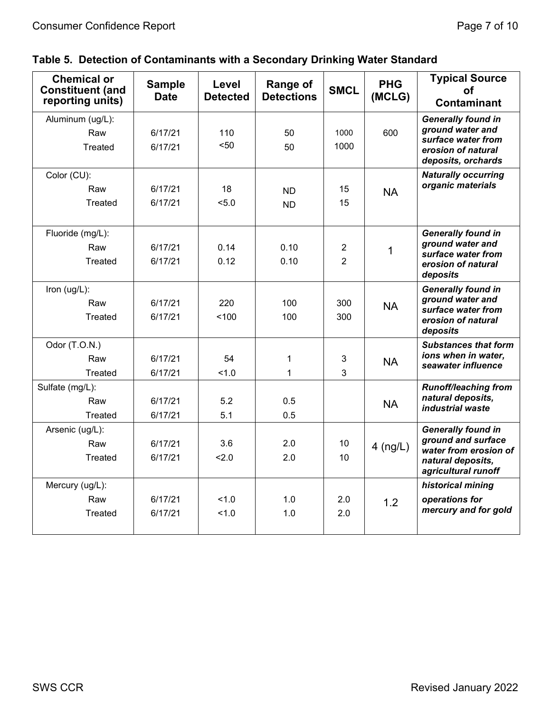| <b>Chemical or</b><br><b>Constituent (and</b><br>reporting units) | <b>Sample</b><br><b>Date</b> | Level<br><b>Detected</b> | <b>Range of</b><br><b>Detections</b> | <b>SMCL</b>      | <b>PHG</b><br>(MCLG) | <b>Typical Source</b><br><b>of</b><br><b>Contaminant</b>       |
|-------------------------------------------------------------------|------------------------------|--------------------------|--------------------------------------|------------------|----------------------|----------------------------------------------------------------|
| Aluminum (ug/L):                                                  |                              |                          |                                      |                  |                      | <b>Generally found in</b>                                      |
| Raw                                                               | 6/17/21                      | 110                      | 50                                   | 1000             | 600                  | ground water and                                               |
| Treated                                                           | 6/17/21                      | $50$                     | 50                                   | 1000             |                      | surface water from<br>erosion of natural<br>deposits, orchards |
| Color (CU):                                                       |                              |                          |                                      |                  |                      | <b>Naturally occurring</b>                                     |
| Raw                                                               | 6/17/21                      | 18                       | <b>ND</b>                            | 15               | <b>NA</b>            | organic materials                                              |
| Treated                                                           | 6/17/21                      | 5.0                      | <b>ND</b>                            | 15               |                      |                                                                |
| Fluoride (mg/L):                                                  |                              |                          |                                      |                  |                      | <b>Generally found in</b>                                      |
| Raw                                                               | 6/17/21                      | 0.14                     | 0.10                                 | $\boldsymbol{2}$ |                      | ground water and                                               |
| <b>Treated</b>                                                    | 6/17/21                      | 0.12                     | 0.10                                 | $\overline{2}$   | 1                    | surface water from                                             |
|                                                                   |                              |                          |                                      |                  |                      | erosion of natural<br>deposits                                 |
| Iron $(ug/L)$ :                                                   |                              |                          |                                      |                  |                      | <b>Generally found in</b>                                      |
| Raw                                                               | 6/17/21                      | 220                      | 100                                  | 300              | <b>NA</b>            | ground water and<br>surface water from                         |
| <b>Treated</b>                                                    | 6/17/21                      | 100                      | 100                                  | 300              |                      | erosion of natural                                             |
|                                                                   |                              |                          |                                      |                  |                      | deposits                                                       |
| Odor (T.O.N.)                                                     |                              |                          |                                      |                  |                      | <b>Substances that form</b>                                    |
| Raw                                                               | 6/17/21                      | 54                       | 1                                    | $\mathbf{3}$     | <b>NA</b>            | ions when in water,<br>seawater influence                      |
| Treated                                                           | 6/17/21                      | 1.0                      | 1                                    | 3                |                      |                                                                |
| Sulfate (mg/L):                                                   |                              |                          |                                      |                  |                      | <b>Runoff/leaching from</b>                                    |
| Raw                                                               | 6/17/21                      | 5.2                      | 0.5                                  |                  | <b>NA</b>            | natural deposits,<br>industrial waste                          |
| Treated                                                           | 6/17/21                      | 5.1                      | 0.5                                  |                  |                      |                                                                |
| Arsenic (ug/L):                                                   |                              |                          |                                      |                  |                      | <b>Generally found in</b>                                      |
| Raw                                                               | 6/17/21                      | 3.6                      | 2.0                                  | 10               | $4$ (ng/L)           | ground and surface<br>water from erosion of                    |
| Treated                                                           | 6/17/21                      | 2.0                      | 2.0                                  | 10               |                      | natural deposits,                                              |
|                                                                   |                              |                          |                                      |                  |                      | agricultural runoff                                            |
| Mercury (ug/L):                                                   |                              |                          |                                      |                  |                      | historical mining                                              |
| Raw                                                               | 6/17/21                      | 1.0                      | 1.0                                  | 2.0              | 1.2                  | operations for                                                 |
| <b>Treated</b>                                                    | 6/17/21                      | 1.0                      | 1.0                                  | 2.0              |                      | mercury and for gold                                           |
|                                                                   |                              |                          |                                      |                  |                      |                                                                |

# **Table 5. Detection of Contaminants with a Secondary Drinking Water Standard**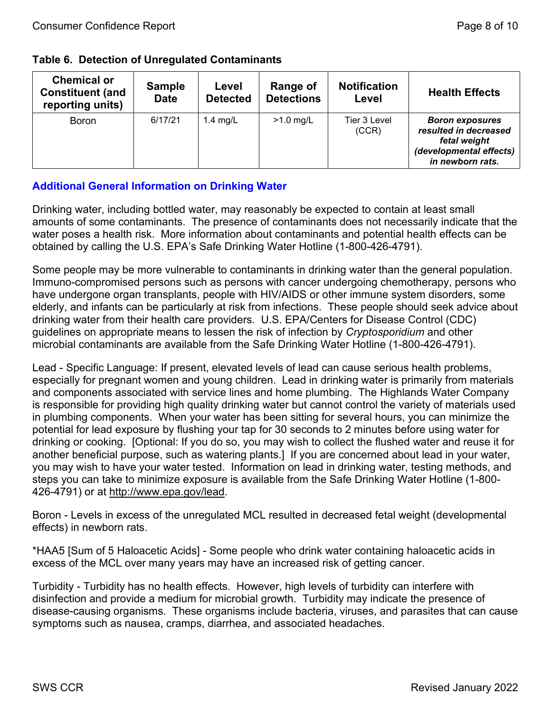|  |  | <b>Table 6. Detection of Unregulated Contaminants</b> |  |
|--|--|-------------------------------------------------------|--|
|--|--|-------------------------------------------------------|--|

| <b>Chemical or</b><br><b>Constituent (and</b><br>reporting units) | <b>Sample</b><br><b>Date</b> | Level<br><b>Detected</b> | Range of<br><b>Detections</b> | <b>Notification</b><br>Level | <b>Health Effects</b>                                                                                          |
|-------------------------------------------------------------------|------------------------------|--------------------------|-------------------------------|------------------------------|----------------------------------------------------------------------------------------------------------------|
| <b>Boron</b>                                                      | 6/17/21                      | $1.4$ mg/L               | $>1.0$ mg/L                   | Tier 3 Level<br>(CCR)        | <b>Boron exposures</b><br>resulted in decreased<br>fetal weight<br>(developmental effects)<br>in newborn rats. |

## **Additional General Information on Drinking Water**

Drinking water, including bottled water, may reasonably be expected to contain at least small amounts of some contaminants. The presence of contaminants does not necessarily indicate that the water poses a health risk. More information about contaminants and potential health effects can be obtained by calling the U.S. EPA's Safe Drinking Water Hotline (1-800-426-4791).

Some people may be more vulnerable to contaminants in drinking water than the general population. Immuno-compromised persons such as persons with cancer undergoing chemotherapy, persons who have undergone organ transplants, people with HIV/AIDS or other immune system disorders, some elderly, and infants can be particularly at risk from infections. These people should seek advice about drinking water from their health care providers. U.S. EPA/Centers for Disease Control (CDC) guidelines on appropriate means to lessen the risk of infection by *Cryptosporidium* and other microbial contaminants are available from the Safe Drinking Water Hotline (1-800-426-4791).

Lead - Specific Language: If present, elevated levels of lead can cause serious health problems, especially for pregnant women and young children. Lead in drinking water is primarily from materials and components associated with service lines and home plumbing. The Highlands Water Company is responsible for providing high quality drinking water but cannot control the variety of materials used in plumbing components. When your water has been sitting for several hours, you can minimize the potential for lead exposure by flushing your tap for 30 seconds to 2 minutes before using water for drinking or cooking. [Optional: If you do so, you may wish to collect the flushed water and reuse it for another beneficial purpose, such as watering plants.] If you are concerned about lead in your water, you may wish to have your water tested. Information on lead in drinking water, testing methods, and steps you can take to minimize exposure is available from the Safe Drinking Water Hotline (1-800 426-4791) or at [http://www.epa.gov/lead.](http://www.epa.gov/lead)

Boron - Levels in excess of the unregulated MCL resulted in decreased fetal weight (developmental effects) in newborn rats.

\*HAA5 [Sum of 5 Haloacetic Acids] - Some people who drink water containing haloacetic acids in excess of the MCL over many years may have an increased risk of getting cancer.

Turbidity - Turbidity has no health effects. However, high levels of turbidity can interfere with disinfection and provide a medium for microbial growth. Turbidity may indicate the presence of disease-causing organisms. These organisms include bacteria, viruses, and parasites that can cause symptoms such as nausea, cramps, diarrhea, and associated headaches.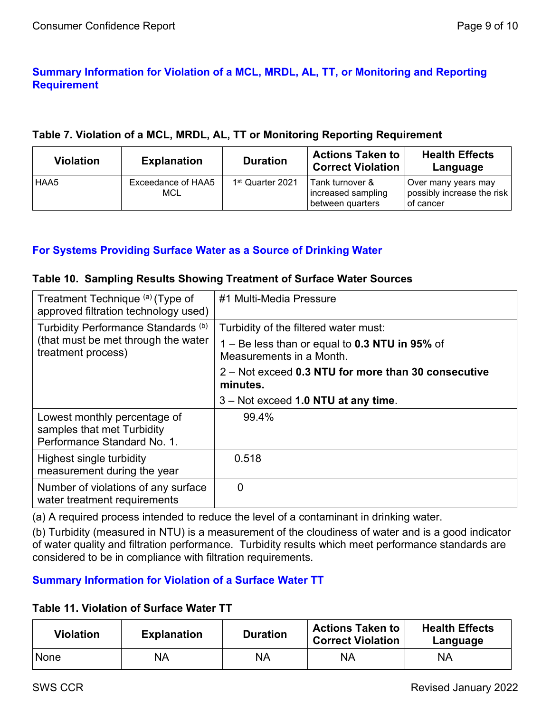## **Summary Information for Violation of a MCL, MRDL, AL, TT, or Monitoring and Reporting Requirement**

### **Table 7. Violation of a MCL, MRDL, AL, TT or Monitoring Reporting Requirement**

| <b>Violation</b> | <b>Explanation</b>        | <b>Duration</b>              | <b>Actions Taken to</b><br><b>Correct Violation</b>         | <b>Health Effects</b><br>Language                                |
|------------------|---------------------------|------------------------------|-------------------------------------------------------------|------------------------------------------------------------------|
| <b>HAA5</b>      | Exceedance of HAA5<br>MCL | 1 <sup>st</sup> Quarter 2021 | l Tank turnover &<br>increased sampling<br>between quarters | Over many years may<br>possibly increase the risk<br>l of cancer |

### **For Systems Providing Surface Water as a Source of Drinking Water**

#### **Table 10. Sampling Results Showing Treatment of Surface Water Sources**

| Treatment Technique (a) (Type of<br>approved filtration technology used)                         | #1 Multi-Media Pressure                                                    |
|--------------------------------------------------------------------------------------------------|----------------------------------------------------------------------------|
| Turbidity Performance Standards (b)<br>(that must be met through the water<br>treatment process) | Turbidity of the filtered water must:                                      |
|                                                                                                  | 1 – Be less than or equal to 0.3 NTU in 95% of<br>Measurements in a Month. |
|                                                                                                  | 2 – Not exceed 0.3 NTU for more than 30 consecutive<br>minutes.            |
|                                                                                                  | 3 – Not exceed 1.0 NTU at any time.                                        |
| Lowest monthly percentage of<br>samples that met Turbidity<br>Performance Standard No. 1.        | 99.4%                                                                      |
| Highest single turbidity<br>measurement during the year                                          | 0.518                                                                      |
| Number of violations of any surface<br>water treatment requirements                              | 0                                                                          |

(a) A required process intended to reduce the level of a contaminant in drinking water.

(b) Turbidity (measured in NTU) is a measurement of the cloudiness of water and is a good indicator of water quality and filtration performance. Turbidity results which meet performance standards are considered to be in compliance with filtration requirements.

## **Summary Information for Violation of a Surface Water TT**

### **Table 11. Violation of Surface Water TT**

| <b>Violation</b> | <b>Explanation</b> | <b>Duration</b> | <b>Actions Taken to</b><br><b>Correct Violation</b> | <b>Health Effects</b><br>Language |
|------------------|--------------------|-----------------|-----------------------------------------------------|-----------------------------------|
| None             | NA                 | NA              | ΝA                                                  | ΝA                                |